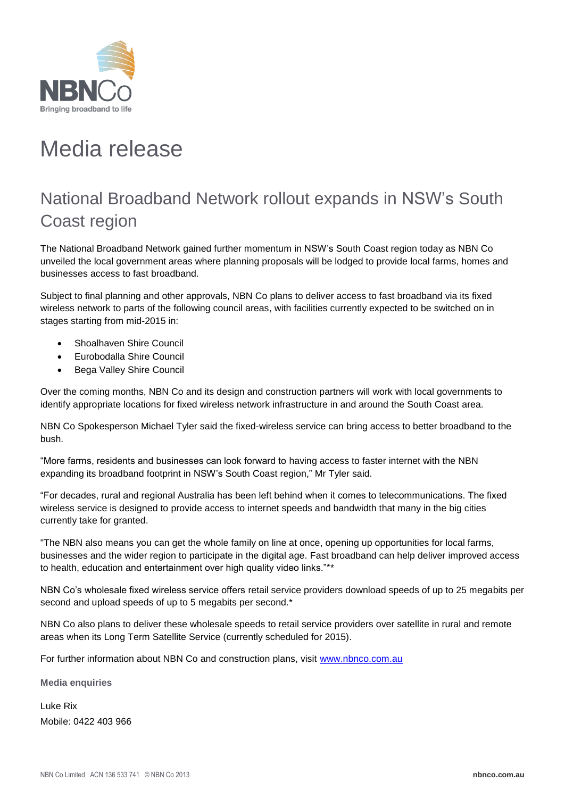

## Media release

## National Broadband Network rollout expands in NSW's South Coast region

The National Broadband Network gained further momentum in NSW's South Coast region today as NBN Co unveiled the local government areas where planning proposals will be lodged to provide local farms, homes and businesses access to fast broadband.

Subject to final planning and other approvals, NBN Co plans to deliver access to fast broadband via its fixed wireless network to parts of the following council areas, with facilities currently expected to be switched on in stages starting from mid-2015 in:

- Shoalhaven Shire Council
- Eurobodalla Shire Council
- Bega Valley Shire Council

Over the coming months, NBN Co and its design and construction partners will work with local governments to identify appropriate locations for fixed wireless network infrastructure in and around the South Coast area.

NBN Co Spokesperson Michael Tyler said the fixed-wireless service can bring access to better broadband to the bush.

"More farms, residents and businesses can look forward to having access to faster internet with the NBN expanding its broadband footprint in NSW's South Coast region," Mr Tyler said.

"For decades, rural and regional Australia has been left behind when it comes to telecommunications. The fixed wireless service is designed to provide access to internet speeds and bandwidth that many in the big cities currently take for granted.

"The NBN also means you can get the whole family on line at once, opening up opportunities for local farms, businesses and the wider region to participate in the digital age. Fast broadband can help deliver improved access to health, education and entertainment over high quality video links."\*\*

NBN Co's wholesale fixed wireless service offers retail service providers download speeds of up to 25 megabits per second and upload speeds of up to 5 megabits per second.\*

NBN Co also plans to deliver these wholesale speeds to retail service providers over satellite in rural and remote areas when its Long Term Satellite Service (currently scheduled for 2015).

For further information about NBN Co and construction plans, visit [www.nbnco.com.au](http://www.nbnco.com.au/)

**Media enquiries**

Luke Rix Mobile: 0422 403 966